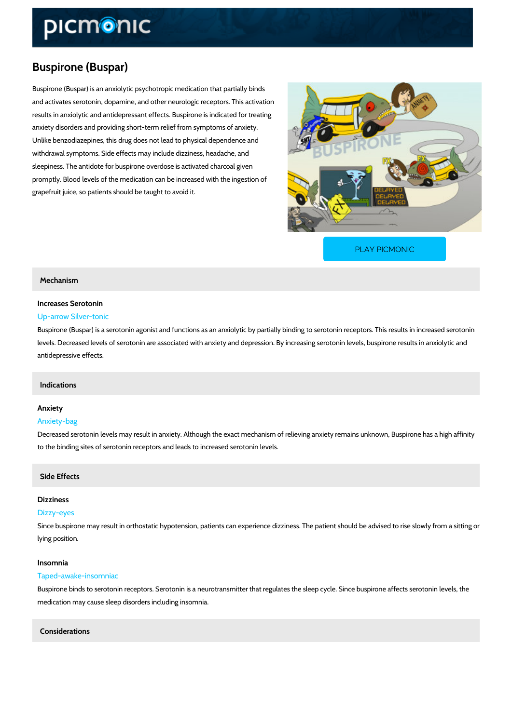# Buspirone (Buspar)

Buspirone (Buspar) is an anxiolytic psychotropic medication that partially binds and activates serotonin, dopamine, and other neurologic receptors. This activation results in anxiolytic and antidepressant effects. Buspirone is indicated for treating anxiety disorders and providing short-term relief from symptoms of anxiety. Unlike benzodiazepines, this drug does not lead to physical dependence and withdrawal symptoms. Side effects may include dizziness, headache, and sleepiness. The antidote for buspirone overdose is activated charcoal given promptly. Blood levels of the medication can be increased with the ingestion of grapefruit juice, so patients should be taught to avoid it.

[PLAY PICMONIC](https://www.picmonic.com/learn/buspirone-buspar_2020?utm_source=downloadable_content&utm_medium=distributedcontent&utm_campaign=pathways_pdf&utm_content=Buspirone (Buspar)&utm_ad_group=leads&utm_market=all)

## Mechanism

# Increases Serotonin

# Up-arrow Silver-tonic

Buspirone (Buspar) is a serotonin agonist and functions as an anxiolytic by partially binding t levels. Decreased levels of serotonin are associated with anxiety and depression. By increasi antidepressive effects.

## Indications

# Anxiety

#### Anxiety-bag

Decreased serotonin levels may result in anxiety. Although the exact mechanism of relieving a to the binding sites of serotonin receptors and leads to increased serotonin levels.

# Side Effects

#### Dizziness

#### Dizzy-eyes

Since buspirone may result in orthostatic hypotension, patients can experience dizziness. The lying position.

#### Insomnia

#### Taped-awake-insomniac

Buspirone binds to serotonin receptors. Serotonin is a neurotransmitter that regulates the sle medication may cause sleep disorders including insomnia.

### Considerations